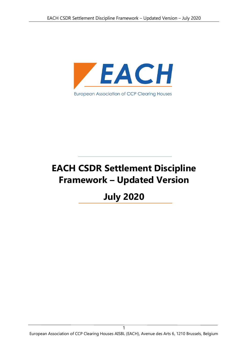

# **EACH CSDR Settlement Discipline Framework – Updated Version**

# **July 2020**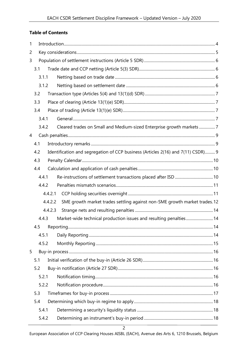#### **Table of Contents**

| 3.1 |                                                                                                                   |                                                                                                                                                                                                                                                                                                                                              |
|-----|-------------------------------------------------------------------------------------------------------------------|----------------------------------------------------------------------------------------------------------------------------------------------------------------------------------------------------------------------------------------------------------------------------------------------------------------------------------------------|
|     |                                                                                                                   |                                                                                                                                                                                                                                                                                                                                              |
|     |                                                                                                                   |                                                                                                                                                                                                                                                                                                                                              |
| 3.2 |                                                                                                                   |                                                                                                                                                                                                                                                                                                                                              |
| 3.3 |                                                                                                                   |                                                                                                                                                                                                                                                                                                                                              |
| 3.4 |                                                                                                                   |                                                                                                                                                                                                                                                                                                                                              |
|     |                                                                                                                   |                                                                                                                                                                                                                                                                                                                                              |
|     |                                                                                                                   |                                                                                                                                                                                                                                                                                                                                              |
|     |                                                                                                                   |                                                                                                                                                                                                                                                                                                                                              |
| 4.1 |                                                                                                                   |                                                                                                                                                                                                                                                                                                                                              |
| 4.2 |                                                                                                                   |                                                                                                                                                                                                                                                                                                                                              |
| 4.3 |                                                                                                                   |                                                                                                                                                                                                                                                                                                                                              |
| 4.4 |                                                                                                                   |                                                                                                                                                                                                                                                                                                                                              |
|     |                                                                                                                   |                                                                                                                                                                                                                                                                                                                                              |
|     |                                                                                                                   |                                                                                                                                                                                                                                                                                                                                              |
|     |                                                                                                                   |                                                                                                                                                                                                                                                                                                                                              |
|     |                                                                                                                   |                                                                                                                                                                                                                                                                                                                                              |
|     |                                                                                                                   |                                                                                                                                                                                                                                                                                                                                              |
|     |                                                                                                                   |                                                                                                                                                                                                                                                                                                                                              |
|     |                                                                                                                   |                                                                                                                                                                                                                                                                                                                                              |
|     |                                                                                                                   |                                                                                                                                                                                                                                                                                                                                              |
|     |                                                                                                                   |                                                                                                                                                                                                                                                                                                                                              |
|     |                                                                                                                   |                                                                                                                                                                                                                                                                                                                                              |
| 5.1 |                                                                                                                   |                                                                                                                                                                                                                                                                                                                                              |
| 5.2 |                                                                                                                   |                                                                                                                                                                                                                                                                                                                                              |
|     |                                                                                                                   |                                                                                                                                                                                                                                                                                                                                              |
|     |                                                                                                                   |                                                                                                                                                                                                                                                                                                                                              |
| 5.3 |                                                                                                                   |                                                                                                                                                                                                                                                                                                                                              |
| 5.4 |                                                                                                                   |                                                                                                                                                                                                                                                                                                                                              |
|     |                                                                                                                   |                                                                                                                                                                                                                                                                                                                                              |
|     |                                                                                                                   |                                                                                                                                                                                                                                                                                                                                              |
| 4   | 3.1.1<br>3.1.2<br>3.4.1<br>3.4.2<br>4.4.1<br>4.4.2<br>4.4.3<br>4.5.1<br>4.5.2<br>5.2.1<br>5.2.2<br>5.4.1<br>5.4.2 | Cleared trades on Small and Medium-sized Enterprise growth markets7<br>Identification and segregation of CCP business (Articles 2(16) and 7(11) CSDR) 9<br>4.4.2.1<br>SME growth market trades settling against non-SME growth market trades. 12<br>4.4.2.2<br>4.4.2.3<br>Market-wide technical production issues and resulting penalties 14 |

European Association of CCP Clearing Houses AISBL (EACH), Avenue des Arts 6, 1210 Brussels, Belgium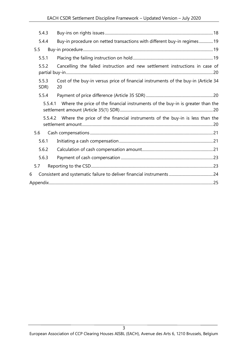| 5.4.3         |                                                                                           |  |
|---------------|-------------------------------------------------------------------------------------------|--|
| 5.4.4         | Buy-in procedure on netted transactions with different buy-in regimes19                   |  |
| 5.5           |                                                                                           |  |
| 5.5.1         |                                                                                           |  |
| 5.5.2         | Cancelling the failed instruction and new settlement instructions in case of              |  |
| 5.5.3<br>SDR) | Cost of the buy-in versus price of financial instruments of the buy-in (Article 34<br>20  |  |
| 5.5.4         |                                                                                           |  |
|               | Where the price of the financial instruments of the buy-in is greater than the<br>5.5.4.1 |  |
|               | Where the price of the financial instruments of the buy-in is less than the<br>5.5.4.2    |  |
| 5.6           |                                                                                           |  |
| 5.6.1         |                                                                                           |  |
| 5.6.2         |                                                                                           |  |
| 5.6.3         |                                                                                           |  |
| 5.7           |                                                                                           |  |
| 6             |                                                                                           |  |
|               |                                                                                           |  |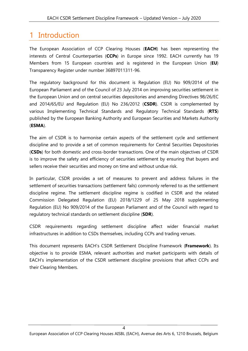# <span id="page-3-0"></span>1 Introduction

The European Association of CCP Clearing Houses (**EACH**) has been representing the interests of Central Counterparties (**CCPs**) in Europe since 1992. EACH currently has 19 Members from 15 European countries and is registered in the European Union (**EU**) Transparency Register under number 36897011311-96.

The regulatory background for this document is Regulation (EU) No 909/2014 of the European Parliament and of the Council of 23 July 2014 on improving securities settlement in the European Union and on central securities depositories and amending Directives 98/26/EC and 2014/65/EU and Regulation (EU) No 236/2012 (**CSDR**). CSDR is complemented by various Implementing Technical Standards and Regulatory Technical Standards (**RTS**) published by the European Banking Authority and European Securities and Markets Authority (**ESMA**).

The aim of CSDR is to harmonise certain aspects of the settlement cycle and settlement discipline and to provide a set of common requirements for Central Securities Depositories (**CSDs**) for both domestic and cross-border transactions. One of the main objectives of CSDR is to improve the safety and efficiency of securities settlement by ensuring that buyers and sellers receive their securities and money on time and without undue risk.

In particular, CSDR provides a set of measures to prevent and address failures in the settlement of securities transactions (settlement fails) commonly referred to as the settlement discipline regime. The settlement discipline regime is codified in CSDR and the related Commission Delegated Regulation (EU) 2018/1229 of 25 May 2018 supplementing Regulation (EU) No 909/2014 of the European Parliament and of the Council with regard to regulatory technical standards on settlement discipline (**SDR**).

CSDR requirements regarding settlement discipline affect wider financial market infrastructures in addition to CSDs themselves, including CCPs and trading venues.

This document represents EACH's CSDR Settlement Discipline Framework (**Framework**). Its objective is to provide ESMA, relevant authorities and market participants with details of EACH's implementation of the CSDR settlement discipline provisions that affect CCPs and their Clearing Members.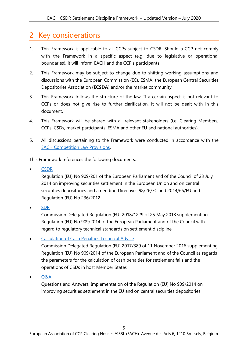# <span id="page-4-0"></span>2 Key considerations

- 1. This Framework is applicable to all CCPs subject to CSDR. Should a CCP not comply with the Framework in a specific aspect (e.g. due to legislative or operational boundaries), it will inform EACH and the CCP's participants.
- 2. This Framework may be subject to change due to shifting working assumptions and discussions with the European Commission (EC), ESMA, the European Central Securities Depositories Association (**ECSDA**) and/or the market community.
- 3. This Framework follows the structure of the law. If a certain aspect is not relevant to CCPs or does not give rise to further clarification, it will not be dealt with in this document.
- 4. This Framework will be shared with all relevant stakeholders (i.e. Clearing Members, CCPs, CSDs, market participants, ESMA and other EU and national authorities).
- 5. All discussions pertaining to the Framework were conducted in accordance with the [EACH Competition Law Provisions.](https://www.eachccp.eu/wp-content/uploads/2018/07/EACH-Competition-law-provisions_JULY-2018.pdf)

This Framework references the following documents:

• [CSDR](https://eur-lex.europa.eu/legal-content/EN/TXT/?uri=CELEX:02014R0909-20160701)

Regulation (EU) No 909/201 of the European Parliament and of the Council of 23 July 2014 on improving securities settlement in the European Union and on central securities depositories and amending Directives 98/26/EC and 2014/65/EU and Regulation (EU) No 236/2012

• [SDR](https://eur-lex.europa.eu/legal-content/EN/TXT/?uri=uriserv:OJ.L_.2018.230.01.0001.01.ENG&toc=OJ:L:2018:230:TOC)

Commission Delegated Regulation (EU) 2018/1229 of 25 May 2018 supplementing Regulation (EU) No 909/2014 of the European Parliament and of the Council with regard to regulatory technical standards on settlement discipline

#### • [Calculation of Cash Penalties Technical Advice](https://www.esma.europa.eu/sites/default/files/library/esma70-708036281-2_csdr_qas.pdf)

Commission Delegated Regulation (EU) 2017/389 of 11 November 2016 supplementing Regulation (EU) No 909/2014 of the European Parliament and of the Council as regards the parameters for the calculation of cash penalties for settlement fails and the operations of CSDs in host Member States

• [Q&A](https://eur-lex.europa.eu/legal-content/EN/TXT/PDF/?uri=CELEX:32017R0389&from=EN)

Questions and Answers, Implementation of the Regulation (EU) No 909/2014 on improving securities settlement in the EU and on central securities depositories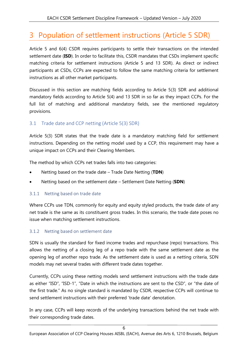# <span id="page-5-0"></span>3 Population of settlement instructions (Article 5 SDR)

Article 5 and 6(4) CSDR requires participants to settle their transactions on the intended settlement date (**ISD**). In order to facilitate this, CSDR mandates that CSDs implement specific matching criteria for settlement instructions (Article 5 and 13 SDR). As direct or indirect participants at CSDs, CCPs are expected to follow the same matching criteria for settlement instructions as all other market participants.

Discussed in this section are matching fields according to Article 5(3) SDR and additional mandatory fields according to Article 5(4) and 13 SDR in so far as they impact CCPs. For the full list of matching and additional mandatory fields, see the mentioned regulatory provisions.

# <span id="page-5-1"></span>3.1 Trade date and CCP netting (Article 5(3) SDR)

Article 5(3) SDR states that the trade date is a mandatory matching field for settlement instructions. Depending on the netting model used by a CCP, this requirement may have a unique impact on CCPs and their Clearing Members.

The method by which CCPs net trades falls into two categories:

- Netting based on the trade date Trade Date Netting (**TDN**)
- Netting based on the settlement date Settlement Date Netting (**SDN**)

# <span id="page-5-2"></span>3.1.1 Netting based on trade date

Where CCPs use TDN, commonly for equity and equity styled products, the trade date of any net trade is the same as its constituent gross trades. In this scenario, the trade date poses no issue when matching settlement instructions.

# <span id="page-5-3"></span>3.1.2 Netting based on settlement date

SDN is usually the standard for fixed income trades and repurchase (repo) transactions. This allows the netting of a closing leg of a repo trade with the same settlement date as the opening leg of another repo trade. As the settlement date is used as a netting criteria, SDN models may net several trades with different trade dates together.

Currently, CCPs using these netting models send settlement instructions with the trade date as either "ISD", "ISD-1", "Date in which the instructions are sent to the CSD", or "the date of the first trade." As no single standard is mandated by CSDR, respective CCPs will continue to send settlement instructions with their preferred 'trade date' denotation.

In any case, CCPs will keep records of the underlying transactions behind the net trade with their corresponding trade dates.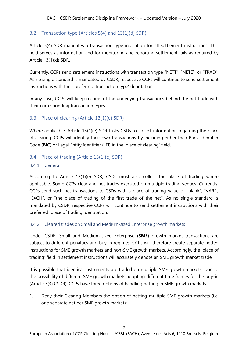# <span id="page-6-0"></span>3.2 Transaction type (Articles 5(4) and 13(1)(d) SDR)

Article 5(4) SDR mandates a transaction type indication for all settlement instructions. This field serves as information and for monitoring and reporting settlement fails as required by Article 13(1)(d) SDR.

Currently, CCPs send settlement instructions with transaction type "NETT", "NETE", or "TRAD". As no single standard is mandated by CSDR, respective CCPs will continue to send settlement instructions with their preferred 'transaction type' denotation.

In any case, CCPs will keep records of the underlying transactions behind the net trade with their corresponding transaction types.

# <span id="page-6-1"></span>3.3 Place of clearing (Article 13(1)(e) SDR)

Where applicable, Article 13(1)(e) SDR tasks CSDs to collect information regarding the place of clearing. CCPs will identify their own transactions by including either their Bank Identifier Code (**BIC**) or Legal Entity Identifier (LEI) in the 'place of clearing' field.

### <span id="page-6-2"></span>3.4 Place of trading (Article 13(1)(e) SDR)

#### <span id="page-6-3"></span>3.4.1 General

According to Article 13(1)(e) SDR, CSDs must also collect the place of trading where applicable. Some CCPs clear and net trades executed on multiple trading venues. Currently, CCPs send such net transactions to CSDs with a place of trading value of "blank", "VARI", "EXCH", or "the place of trading of the first trade of the net". As no single standard is mandated by CSDR, respective CCPs will continue to send settlement instructions with their preferred 'place of trading' denotation.

#### <span id="page-6-4"></span>3.4.2 Cleared trades on Small and Medium-sized Enterprise growth markets

Under CSDR, Small and Medium-sized Enterprise (**SME**) growth market transactions are subject to different penalties and buy-in regimes. CCPs will therefore create separate netted instructions for SME growth markets and non-SME growth markets. Accordingly, the 'place of trading' field in settlement instructions will accurately denote an SME growth market trade.

It is possible that identical instruments are traded on multiple SME growth markets. Due to the possibility of different SME growth markets adopting different time frames for the buy-in (Article 7(3) CSDR), CCPs have three options of handling netting in SME growth markets:

1. Deny their Clearing Members the option of netting multiple SME growth markets (i.e. one separate net per SME growth market);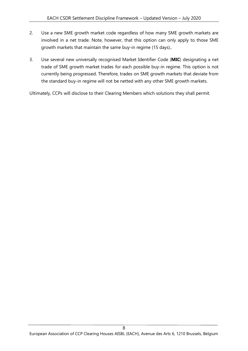- 2. Use a new SME growth market code regardless of how many SME growth markets are involved in a net trade. Note, however, that this option can only apply to those SME growth markets that maintain the same buy-in regime (15 days)..
- 3. Use several new universally recognised Market Identifier Code (**MIC**) designating a net trade of SME growth market trades for each possible buy-in regime. This option is not currently being progressed. Therefore, trades on SME growth markets that deviate from the standard buy-in regime will not be netted with any other SME growth markets.

Ultimately, CCPs will disclose to their Clearing Members which solutions they shall permit.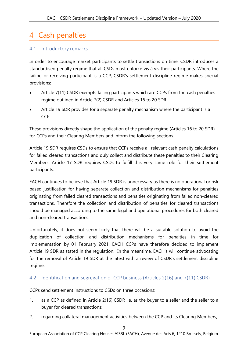# <span id="page-8-0"></span>4 Cash penalties

### <span id="page-8-1"></span>4.1 Introductory remarks

In order to encourage market participants to settle transactions on time, CSDR introduces a standardised penalty regime that all CSDs must enforce vis à vis their participants. Where the failing or receiving participant is a CCP, CSDR's settlement discipline regime makes special provisions:

- Article 7(11) CSDR exempts failing participants which are CCPs from the cash penalties regime outlined in Article 7(2) CSDR and Articles 16 to 20 SDR.
- Article 19 SDR provides for a separate penalty mechanism where the participant is a CCP.

These provisions directly shape the application of the penalty regime (Articles 16 to 20 SDR) for CCPs and their Clearing Members and inform the following sections.

Article 19 SDR requires CSDs to ensure that CCPs receive all relevant cash penalty calculations for failed cleared transactions and duly collect and distribute these penalties to their Clearing Members. Article 17 SDR requires CSDs to fulfill this very same role for their settlement participants.

EACH continues to believe that Article 19 SDR is unnecessary as there is no operational or risk based justification for having separate collection and distribution mechanisms for penalties originating from failed cleared transactions and penalties originating from failed non-cleared transactions. Therefore the collection and distribution of penalties for cleared transactions should be managed according to the same legal and operational procedures for both cleared and non-cleared transactions.

Unfortunately, it does not seem likely that there will be a suitable solution to avoid the duplication of collection and distribution mechanisms for penalties in time for implementation by 01 February 2021. EACH CCPs have therefore decided to implement Article 19 SDR as stated in the regulation. In the meantime, EACH's will continue advocating for the removal of Article 19 SDR at the latest with a review of CSDR's settlement discipline regime.

#### <span id="page-8-2"></span>4.2 Identification and segregation of CCP business (Articles 2(16) and 7(11) CSDR)

CCPs send settlement instructions to CSDs on three occasions:

- 1. as a CCP as defined in Article 2(16) CSDR i.e. as the buyer to a seller and the seller to a buyer for cleared transactions;
- 2. regarding collateral management activities between the CCP and its Clearing Members;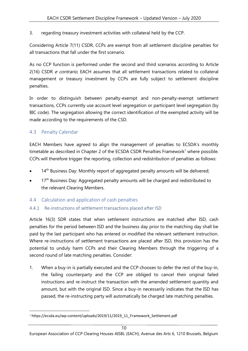3. regarding treasury investment activities with collateral held by the CCP.

Considering Article 7(11) CSDR, CCPs are exempt from all settlement discipline penalties for all transactions that fall under the first scenario.

As no CCP function is performed under the second and third scenarios according to Article 2(16) CSDR *e contrario*, EACH assumes that all settlement transactions related to collateral management or treasury investment by CCPs are fully subject to settlement discipline penalties.

In order to distinguish between penalty-exempt and non-penalty-exempt settlement transactions, CCPs currently use account level segregation or participant level segregation (by BIC code). The segregation allowing the correct identification of the exempted activity will be made according to the requirements of the CSD.

# <span id="page-9-0"></span>4.3 Penalty Calendar

EACH Members have agreed to align the management of penalties to ECSDA's monthly timetable as described in Chapter 2 of the ECSDA CSDR Penalties Framework<sup>1</sup> where possible. CCPs will therefore trigger the reporting, collection and redistribution of penalties as follows:

- 14<sup>th</sup> Business Day: Monthly report of aggregated penalty amounts will be delivered;
- 17<sup>th</sup> Business Day: Aggregated penalty amounts will be charged and redistributed to the relevant Clearing Members.

# <span id="page-9-1"></span>4.4 Calculation and application of cash penalties

# <span id="page-9-2"></span>4.4.1 Re-instructions of settlement transactions placed after ISD

Article 16(3) SDR states that when settlement instructions are matched after ISD, cash penalties for the period between ISD and the business day prior to the matching day shall be paid by the last participant who has entered or modified the relevant settlement instruction. Where re-instructions of settlement transactions are placed after ISD, this provision has the potential to unduly harm CCPs and their Clearing Members through the triggering of a second round of late matching penalties. Consider:

1. When a buy-in is partially executed and the CCP chooses to defer the rest of the buy-in, the failing counterparty and the CCP are obliged to cancel their original failed instructions and re-instruct the transaction with the amended settlement quantity and amount, but with the original ISD. Since a buy-in necessarily indicates that the ISD has passed, the re-instructing party will automatically be charged late matching penalties.

<sup>&</sup>lt;sup>1</sup> https://ecsda.eu/wp-content/uploads/2019/11/2019\_11\_Framework\_Settlement.pdf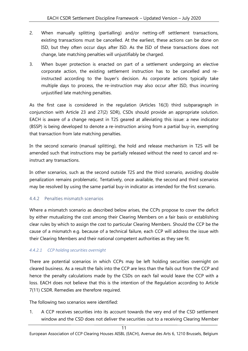- 2. When manually splitting (partialling) and/or netting-off settlement transactions, existing transactions must be cancelled. At the earliest, these actions can be done on ISD, but they often occur days after ISD. As the ISD of these transactions does not change, late matching penalties will unjustifiably be charged.
- 3. When buyer protection is enacted on part of a settlement undergoing an elective corporate action, the existing settlement instruction has to be cancelled and reinstructed according to the buyer's decision. As corporate actions typically take multiple days to process, the re-instruction may also occur after ISD, thus incurring unjustified late matching penalties.

As the first case is considered in the regulation (Articles 16(3) third subparagraph in conjunction with Article 23 and 27(2) SDR), CSDs should provide an appropriate solution. EACH is aware of a change request in T2S geared at alleviating this issue: a new indicator (BSSP) is being developed to denote a re-instruction arising from a partial buy-in, exempting that transaction from late matching penalties.

In the second scenario (manual splitting), the hold and release mechanism in T2S will be amended such that instructions may be partially released without the need to cancel and reinstruct any transactions.

In other scenarios, such as the second outside T2S and the third scenario, avoiding double penalization remains problematic. Tentatively, once available, the second and third scenarios may be resolved by using the same partial buy-in indicator as intended for the first scenario.

#### <span id="page-10-0"></span>4.4.2 Penalties mismatch scenarios

Where a mismatch scenario as described below arises, the CCPs propose to cover the deficit by either mutualizing the cost among their Clearing Members on a fair basis or establishing clear rules by which to assign the cost to particular Clearing Members. Should the CCP be the cause of a mismatch e.g. because of a technical failure, each CCP will address the issue with their Clearing Members and their national competent authorities as they see fit.

#### <span id="page-10-1"></span>*4.4.2.1 CCP holding securities overnight*

There are potential scenarios in which CCPs may be left holding securities overnight on cleared business. As a result the fails into the CCP are less than the fails out from the CCP and hence the penalty calculations made by the CSDs on each fail would leave the CCP with a loss. EACH does not believe that this is the intention of the Regulation according to Article 7(11) CSDR. Remedies are therefore required.

The following two scenarios were identified:

1. A CCP receives securities into its account towards the very end of the CSD settlement window and the CSD does not deliver the securities out to a receiving Clearing Member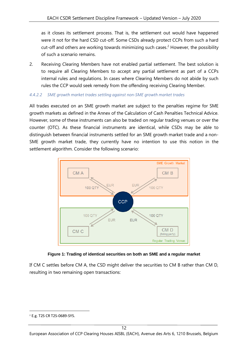as it closes its settlement process. That is, the settlement out would have happened were it not for the hard CSD cut-off. Some CSDs already protect CCPs from such a hard cut-off and others are working towards minimizing such cases.<sup>2</sup> However, the possibility of such a scenario remains.

2. Receiving Clearing Members have not enabled partial settlement. The best solution is to require all Clearing Members to accept any partial settlement as part of a CCPs internal rules and regulations. In cases where Clearing Members do not abide by such rules the CCP would seek remedy from the offending receiving Clearing Member.

#### <span id="page-11-0"></span>*4.4.2.2 SME growth market trades settling against non-SME growth market trades*

All trades executed on an SME growth market are subject to the penalties regime for SME growth markets as defined in the Annex of the Calculation of Cash Penalties Technical Advice. However, some of these instruments can also be traded on regular trading venues or over the counter (OTC). As these financial instruments are identical, while CSDs may be able to distinguish between financial instruments settled for an SME growth market trade and a non-SME growth market trade, they currently have no intention to use this notion in the settlement algorithm. Consider the following scenario:



#### **Figure 1: Trading of identical securities on both an SME and a regular market**

If CM C settles before CM A, the CSD might deliver the securities to CM B rather than CM D, resulting in two remaining open transactions:

<sup>2</sup> E.g. T2S CR T2S-0689-SYS.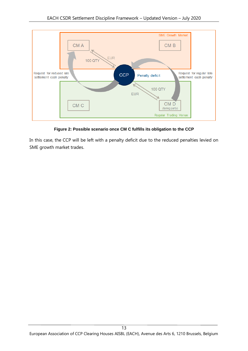

**Figure 2: Possible scenario once CM C fulfills its obligation to the CCP**

In this case, the CCP will be left with a penalty deficit due to the reduced penalties levied on SME growth market trades.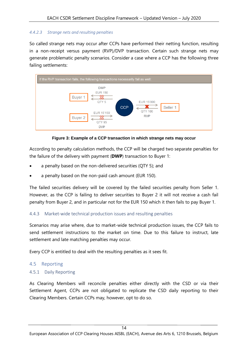#### <span id="page-13-0"></span>*4.4.2.3 Strange nets and resulting penalties*

So called strange nets may occur after CCPs have performed their netting function, resulting in a non-receipt versus payment (RVP)/DVP transaction. Certain such strange nets may generate problematic penalty scenarios. Consider a case where a CCP has the following three failing settlements:



**Figure 3: Example of a CCP transaction in which strange nets may occur**

According to penalty calculation methods, the CCP will be charged two separate penalties for the failure of the delivery with payment (**DWP**) transaction to Buyer 1:

- a penalty based on the non-delivered securities (QTY 5); and
- a penalty based on the non-paid cash amount (EUR 150).

The failed securities delivery will be covered by the failed securities penalty from Seller 1. However, as the CCP is failing to deliver securities to Buyer 2 it will not receive a cash fail penalty from Buyer 2, and in particular not for the EUR 150 which it then fails to pay Buyer 1.

#### <span id="page-13-1"></span>4.4.3 Market-wide technical production issues and resulting penalties

Scenarios may arise where, due to market-wide technical production issues, the CCP fails to send settlement instructions to the market on time. Due to this failure to instruct, late settlement and late matching penalties may occur.

Every CCP is entitled to deal with the resulting penalties as it sees fit.

#### <span id="page-13-2"></span>4.5 Reporting

#### <span id="page-13-3"></span>4.5.1 Daily Reporting

As Clearing Members will reconcile penalties either directly with the CSD or via their Settlement Agent, CCPs are not obligated to replicate the CSD daily reporting to their Clearing Members. Certain CCPs may, however, opt to do so.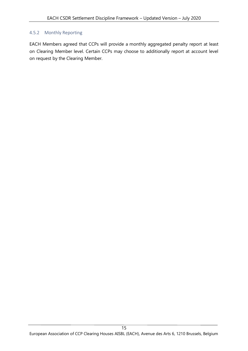#### <span id="page-14-0"></span>4.5.2 Monthly Reporting

EACH Members agreed that CCPs will provide a monthly aggregated penalty report at least on Clearing Member level. Certain CCPs may choose to additionally report at account level on request by the Clearing Member.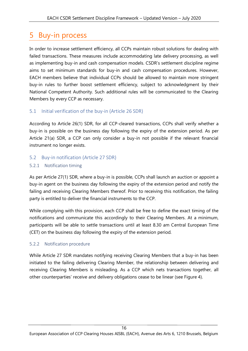# <span id="page-15-0"></span>5 Buy-in process

In order to increase settlement efficiency, all CCPs maintain robust solutions for dealing with failed transactions. These measures include accommodating late delivery processing, as well as implementing buy-in and cash compensation models. CSDR's settlement discipline regime aims to set minimum standards for buy-in and cash compensation procedures. However, EACH members believe that individual CCPs should be allowed to maintain more stringent buy-in rules to further boost settlement efficiency, subject to acknowledgment by their National Competent Authority. Such additional rules will be communicated to the Clearing Members by every CCP as necessary.

### <span id="page-15-1"></span>5.1 Initial verification of the buy-in (Article 26 SDR)

According to Article 26(1) SDR, for all CCP-cleared transactions, CCPs shall verify whether a buy-in is possible on the business day following the expiry of the extension period. As per Article 21(a) SDR, a CCP can only consider a buy-in not possible if the relevant financial instrument no longer exists.

#### <span id="page-15-2"></span>5.2 Buy-in notification (Article 27 SDR)

#### <span id="page-15-3"></span>5.2.1 Notification timing

As per Article 27(1) SDR, where a buy-in is possible, CCPs shall launch an auction or appoint a buy-in agent on the business day following the expiry of the extension period and notify the failing and receiving Clearing Members thereof. Prior to receiving this notification, the failing party is entitled to deliver the financial instruments to the CCP.

While complying with this provision, each CCP shall be free to define the exact timing of the notifications and communicate this accordingly to their Clearing Members. At a minimum, participants will be able to settle transactions until at least 8.30 am Central European Time (CET) on the business day following the expiry of the extension period.

#### <span id="page-15-4"></span>5.2.2 Notification procedure

While Article 27 SDR mandates notifying receiving Clearing Members that a buy-in has been initiated to the failing delivering Clearing Member, the relationship between delivering and receiving Clearing Members is misleading. As a CCP which nets transactions together, all other counterparties' receive and delivery obligations cease to be linear (see [Figure 4\)](#page-16-1).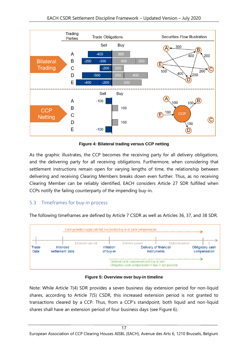

**Figure 4: Bilateral trading versus CCP netting**

<span id="page-16-1"></span>As the graphic illustrates, the CCP becomes the receiving party for all delivery obligations, and the delivering party for all receiving obligations. Furthermore, when considering that settlement instructions remain open for varying lengths of time, the relationship between delivering and receiving Clearing Members breaks down even further. Thus, as no receiving Clearing Member can be reliably identified, EACH considers Article 27 SDR fulfilled when CCPs notify the failing counterparty of the impending buy-in.

# <span id="page-16-0"></span>5.3 Timeframes for buy-in process

The following timeframes are defined by Article 7 CSDR as well as Articles 36, 37, and 38 SDR.



**Figure 5: Overview over buy-in timeline**

Note: While Article 7(4) SDR provides a seven business day extension period for non-liquid shares, according to Article 7(5) CSDR, this increased extension period is not granted to transactions cleared by a CCP. Thus, from a CCP's standpoint, both liquid and non-liquid shares shall have an extension period of four business days (see [Figure 6\)](#page-17-4).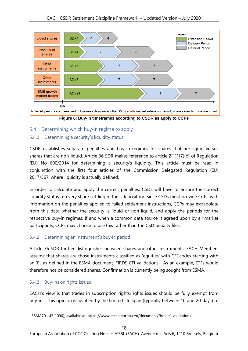

**Figure 6: Buy-in timeframes according to CSDR as apply to CCPs**

# <span id="page-17-4"></span><span id="page-17-0"></span>5.4 Determining which buy-in regime to apply

### <span id="page-17-1"></span>5.4.1 Determining a security's liquidity status

CSDR establishes separate penalties and buy-in regimes for shares that are liquid versus shares that are non-liquid. Article 36 SDR makes reference to article 2(1)(17)(b) of Regulation (EU) No 600/2014 for determining a security's liquidity. This article must be read in conjunction with the first four articles of the Commission Delegated Regulation (EU) 2017/567, where liquidity is actually defined.

In order to calculate and apply the correct penalties, CSDs will have to ensure the correct liquidity status of every share settling in their depository. Since CSDs must provide CCPs with information on the penalties applied to failed settlement instructions, CCPs may extrapolate from this data whether the security is liquid or non-liquid, and apply the periods for the respective buy-in regimes. If and when a common data source is agreed upon by all market participants, CCPs may choose to use this rather than the CSD penalty files.

# <span id="page-17-2"></span>5.4.2 Determining an instrument's buy-in period

Article 36 SDR further distinguishes between shares and other instruments. EACH Members assume that shares are those instruments classified as 'equities' with CFI codes starting with an 'E', as defined in the ESMA document 'FIRDS CFI validations'<sup>3</sup>. As an example, ETFs would therefore not be considered shares. Confirmation is currently being sought from ESMA.

#### <span id="page-17-3"></span>5.4.3 Buy-ins on rights issues

EACH's view is that trades in subscription rights/rights issues should be fully exempt from buy-ins. This opinion is justified by the limited life span (typically between 10 and 20 days) of

<sup>3</sup> ESMA70-145-1090], available at https://www.esma.europa.eu/document/firds-cfi-validations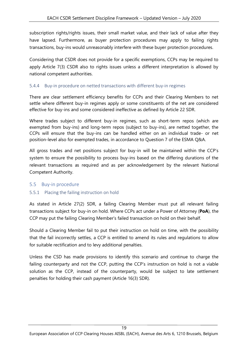subscription rights/rights issues, their small market value, and their lack of value after they have lapsed. Furthermore, as buyer protection procedures may apply to failing rights transactions, buy-ins would unreasonably interfere with these buyer protection procedures.

Considering that CSDR does not provide for a specific exemptions, CCPs may be required to apply Article 7(3) CSDR also to rights issues unless a different interpretation is allowed by national competent authorities.

#### <span id="page-18-0"></span>5.4.4 Buy-in procedure on netted transactions with different buy-in regimes

There are clear settlement efficiency benefits for CCPs and their Clearing Members to net settle where different buy-in regimes apply or some constituents of the net are considered effective for buy-ins and some considered ineffective as defined by Article 22 SDR.

Where trades subject to different buy-in regimes, such as short-term repos (which are exempted from buy-ins) and long-term repos (subject to buy-ins), are netted together, the CCPs will ensure that the buy-ins can be handled either on an individual trade- or net position-level also for exempted trades, in accordance to Question 7 of the ESMA Q&A.

All gross trades and net positions subject for buy-in will be maintained within the CCP's system to ensure the possibility to process buy-ins based on the differing durations of the relevant transactions as required and as per acknowledgement by the relevant National Competent Authority.

#### <span id="page-18-1"></span>5.5 Buy-in procedure

#### <span id="page-18-2"></span>5.5.1 Placing the failing instruction on hold

As stated in Article 27(2) SDR, a failing Clearing Member must put all relevant failing transactions subject for buy-in on hold. Where CCPs act under a Power of Attorney (**PoA**), the CCP may put the failing Clearing Member's failed transaction on hold on their behalf.

Should a Clearing Member fail to put their instruction on hold on time, with the possibility that the fail incorrectly settles, a CCP is entitled to amend its rules and regulations to allow for suitable rectification and to levy additional penalties.

Unless the CSD has made provisions to identify this scenario and continue to charge the failing counterparty and not the CCP, putting the CCP's instruction on hold is not a viable solution as the CCP, instead of the counterparty, would be subject to late settlement penalties for holding their cash payment (Article 16(3) SDR).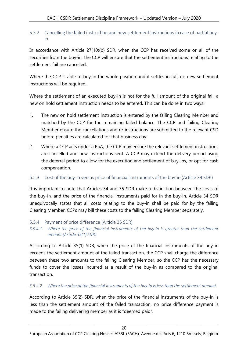#### <span id="page-19-0"></span>5.5.2 Cancelling the failed instruction and new settlement instructions in case of partial buyin

In accordance with Article 27(10)(b) SDR, when the CCP has received some or all of the securities from the buy-in, the CCP will ensure that the settlement instructions relating to the settlement fail are cancelled.

Where the CCP is able to buy-in the whole position and it settles in full, no new settlement instructions will be required.

Where the settlement of an executed buy-in is not for the full amount of the original fail, a new on hold settlement instruction needs to be entered. This can be done in two ways:

- 1. The new on hold settlement instruction is entered by the failing Clearing Member and matched by the CCP for the remaining failed balance. The CCP and failing Clearing Member ensure the cancellations and re-instructions are submitted to the relevant CSD before penalties are calculated for that business day.
- 2. Where a CCP acts under a PoA, the CCP may ensure the relevant settlement instructions are cancelled and new instructions sent. A CCP may extend the delivery period using the deferral period to allow for the execution and settlement of buy-ins, or opt for cash compensation.

#### <span id="page-19-1"></span>5.5.3 Cost of the buy-in versus price of financial instruments of the buy-in (Article 34 SDR)

It is important to note that Articles 34 and 35 SDR make a distinction between the costs of the buy-in, and the price of the financial instruments paid for in the buy-in. Article 34 SDR unequivocally states that all costs relating to the buy-in shall be paid for by the failing Clearing Member. CCPs may bill these costs to the failing Clearing Member separately.

<span id="page-19-2"></span>5.5.4 Payment of price difference (Article 35 SDR)

<span id="page-19-3"></span>*5.5.4.1 Where the price of the financial instruments of the buy-in is greater than the settlement amount (Article 35(1) SDR)*

According to Article 35(1) SDR, when the price of the financial instruments of the buy-in exceeds the settlement amount of the failed transaction, the CCP shall charge the difference between these two amounts to the failing Clearing Member, so the CCP has the necessary funds to cover the losses incurred as a result of the buy-in as compared to the original transaction.

#### <span id="page-19-4"></span>*5.5.4.2 Where the price of the financial instruments of the buy-in is less than the settlement amount*

According to Article 35(2) SDR, when the price of the financial instruments of the buy-in is less than the settlement amount of the failed transaction, no price difference payment is made to the failing delivering member as it is "deemed paid".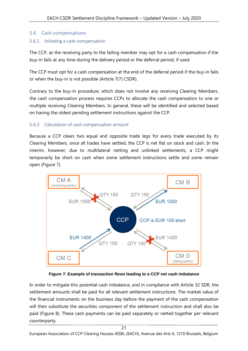### <span id="page-20-0"></span>5.6 Cash compensations

#### <span id="page-20-1"></span>5.6.1 Initiating a cash compensation

The CCP, as the receiving party to the failing member may opt for a cash compensation if the buy-in fails at any time during the delivery period or the deferral period, if used.

The CCP must opt for a cash compensation at the end of the deferral period if the buy-in fails or when the buy-in is not possible (Article 7(7) CSDR).

Contrary to the buy-in procedure, which does not involve any receiving Clearing Members, the cash compensation process requires CCPs to allocate the cash compensation to one or multiple receiving Clearing Members. In general, these will be identified and selected based on having the oldest pending settlement instructions against the CCP.

#### <span id="page-20-2"></span>5.6.2 Calculation of cash compensation amount

Because a CCP clears two equal and opposite trade legs for every trade executed by its Clearing Members, once all trades have settled, the CCP is net flat on stock and cash. In the interim, however, due to multilateral netting and unlinked settlements, a CCP might temporarily be short on cash when some settlement instructions settle and some remain open [\(Figure 7\)](#page-20-3).



**Figure 7: Example of transaction flows leading to a CCP net cash imbalance**

<span id="page-20-3"></span>In order to mitigate this potential cash imbalance, and in compliance with Article 32 SDR, the settlement amounts shall be paid for all relevant settlement instructions. The market value of the financial instruments on the business day before the payment of the cash compensation will then substitute the securities component of the settlement instruction and shall also be paid [\(Figure 8\)](#page-21-0). These cash payments can be paid separately or netted together per relevant counterparty.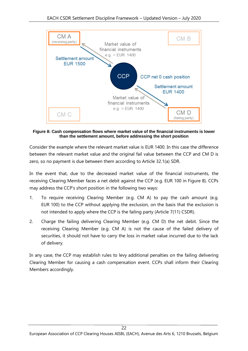

<span id="page-21-0"></span>**Figure 8: Cash compensation flows where market value of the financial instruments is lower than the settlement amount, before addressing the short position**

Consider the example where the relevant market value is EUR 1400. In this case the difference between the relevant market value and the original fail value between the CCP and CM D is zero, so no payment is due between them according to Article 32.1(a) SDR.

In the event that, due to the decreased market value of the financial instruments, the receiving Clearing Member faces a net debit against the CCP (e.g. EUR 100 in [Figure 8\)](#page-21-0). CCPs may address the CCP's short position in the following two ways:

- 1. To require receiving Clearing Member (e.g. CM A) to pay the cash amount (e.g. EUR 100) to the CCP without applying the exclusion, on the basis that the exclusion is not intended to apply where the CCP is the failing party (Article 7(11) CSDR).
- 2. Charge the failing delivering Clearing Member (e.g. CM D) the net debit. Since the receiving Clearing Member (e.g. CM A) is not the cause of the failed delivery of securities, it should not have to carry the loss in market value incurred due to the lack of delivery.

In any case, the CCP may establish rules to levy additional penalties on the failing delivering Clearing Member for causing a cash compensation event. CCPs shall inform their Clearing Members accordingly.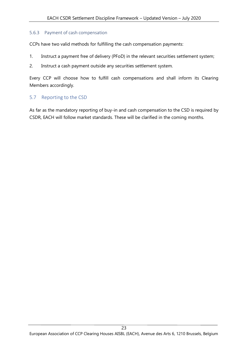#### <span id="page-22-0"></span>5.6.3 Payment of cash compensation

CCPs have two valid methods for fulfilling the cash compensation payments:

- 1. Instruct a payment free of delivery (PFoD) in the relevant securities settlement system;
- 2. Instruct a cash payment outside any securities settlement system.

Every CCP will choose how to fulfill cash compensations and shall inform its Clearing Members accordingly.

#### <span id="page-22-1"></span>5.7 Reporting to the CSD

As far as the mandatory reporting of buy-in and cash compensation to the CSD is required by CSDR, EACH will follow market standards. These will be clarified in the coming months.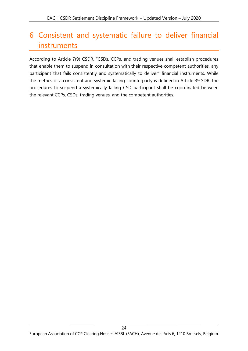# <span id="page-23-0"></span>6 Consistent and systematic failure to deliver financial instruments

According to Article 7(9) CSDR, "CSDs, CCPs, and trading venues shall establish procedures that enable them to suspend in consultation with their respective competent authorities, any participant that fails consistently and systematically to deliver" financial instruments. While the metrics of a consistent and systemic failing counterparty is defined in Article 39 SDR, the procedures to suspend a systemically failing CSD participant shall be coordinated between the relevant CCPs, CSDs, trading venues, and the competent authorities.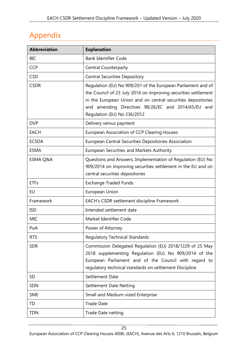# <span id="page-24-0"></span>Appendix

| <b>Abbreviation</b> | <b>Explanation</b>                                                                                                                                                                                                                                                                   |
|---------------------|--------------------------------------------------------------------------------------------------------------------------------------------------------------------------------------------------------------------------------------------------------------------------------------|
| <b>BIC</b>          | <b>Bank Identifier Code</b>                                                                                                                                                                                                                                                          |
| <b>CCP</b>          | <b>Central Counterparty</b>                                                                                                                                                                                                                                                          |
| <b>CSD</b>          | <b>Central Securities Depository</b>                                                                                                                                                                                                                                                 |
| <b>CSDR</b>         | Regulation (EU) No 909/201 of the European Parliament and of<br>the Council of 23 July 2014 on improving securities settlement<br>in the European Union and on central securities depositories<br>and amending Directives 98/26/EC and 2014/65/EU and<br>Regulation (EU) No 236/2012 |
| <b>DVP</b>          | Delivery versus payment                                                                                                                                                                                                                                                              |
| <b>EACH</b>         | <b>European Association of CCP Clearing Houses</b>                                                                                                                                                                                                                                   |
| <b>ECSDA</b>        | European Central Securities Depositories Association                                                                                                                                                                                                                                 |
| <b>ESMA</b>         | <b>European Securities and Markets Authority</b>                                                                                                                                                                                                                                     |
| <b>ESMA Q&amp;A</b> | Questions and Answers, Implementation of Regulation (EU) No<br>909/2014 on improving securities settlement in the EU and on<br>central securities depositories                                                                                                                       |
| <b>ETFs</b>         | <b>Exchange Traded Funds</b>                                                                                                                                                                                                                                                         |
| EU                  | European Union                                                                                                                                                                                                                                                                       |
| Framework           | EACH's CSDR settlement discipline Framework                                                                                                                                                                                                                                          |
| <b>ISD</b>          | Intended settlement date                                                                                                                                                                                                                                                             |
| <b>MIC</b>          | Market Identifier Code                                                                                                                                                                                                                                                               |
| PoA                 | Power of Attorney                                                                                                                                                                                                                                                                    |
| <b>RTS</b>          | <b>Regulatory Technical Standards</b>                                                                                                                                                                                                                                                |
| <b>SDR</b>          | Commission Delegated Regulation (EU) 2018/1229 of 25 May<br>2018 supplementing Regulation (EU) No 909/2014 of the<br>European Parliament and of the Council with regard to<br>regulatory technical standards on settlement Discipline                                                |
| <b>SD</b>           | Settlement Date                                                                                                                                                                                                                                                                      |
| <b>SDN</b>          | <b>Settlement Date Netting</b>                                                                                                                                                                                                                                                       |
| <b>SME</b>          | Small and Medium-sized Enterprise                                                                                                                                                                                                                                                    |
| TD                  | <b>Trade Date</b>                                                                                                                                                                                                                                                                    |
| <b>TDN</b>          | Trade Date netting                                                                                                                                                                                                                                                                   |

European Association of CCP Clearing Houses AISBL (EACH), Avenue des Arts 6, 1210 Brussels, Belgium